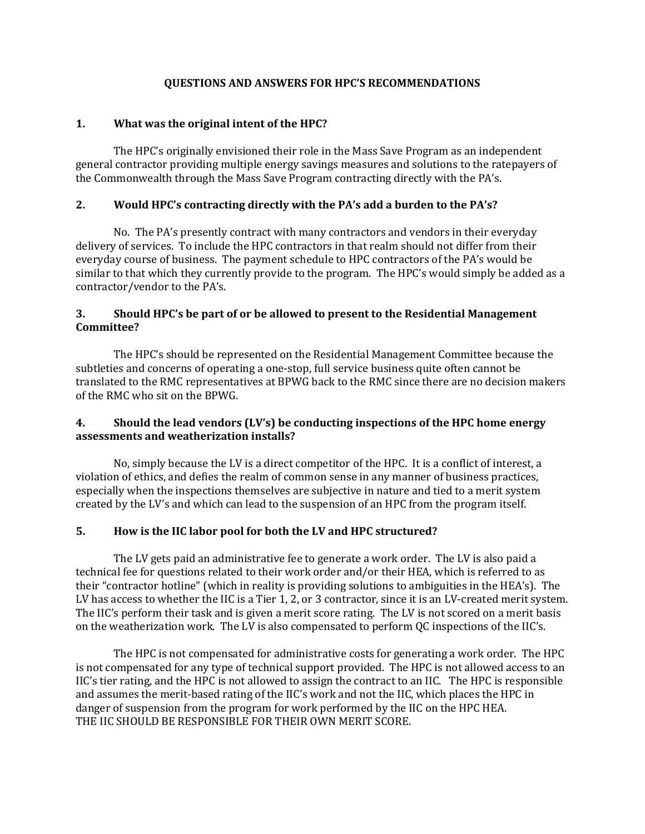#### **QUESTIONS AND ANSWERS FOR HPC'S RECOMMENDATIONS**

### **1. What was the original intent of the HPC?**

The HPC's originally envisioned their role in the Mass Save Program as an independent general contractor providing multiple energy savings measures and solutions to the ratepayers of the Commonwealth through the Mass Save Program contracting directly with the PA's.

### **2. Would HPC's contracting directly with the PA's add a burden to the PA's?**

No. The PA's presently contract with many contractors and vendors in their everyday delivery of services. To include the HPC contractors in that realm should not differ from their everyday course of business. The payment schedule to HPC contractors of the PA's would be similar to that which they currently provide to the program. The HPC's would simply be added as a contractor/vendor to the PA's.

### **3. Should HPC's be part of or be allowed to present to the Residential Management Committee?**

The HPC's should be represented on the Residential Management Committee because the subtleties and concerns of operating a one-stop, full service business quite often cannot be translated to the RMC representatives at BPWG back to the RMC since there are no decision makers of the RMC who sit on the BPWG.

# **4. Should the lead vendors (LV's) be conducting inspections of the HPC home energy assessments and weatherization installs?**

No, simply because the LV is a direct competitor of the HPC. It is a conflict of interest, a violation of ethics, and defies the realm of common sense in any manner of business practices, especially when the inspections themselves are subjective in nature and tied to a merit system created by the LV's and which can lead to the suspension of an HPC from the program itself.

#### **5. How is the IIC labor pool for both the LV and HPC structured?**

The LV gets paid an administrative fee to generate a work order. The LV is also paid a technical fee for questions related to their work order and/or their HEA, which is referred to as their "contractor hotline" (which in reality is providing solutions to ambiguities in the HEA's). The LV has access to whether the IIC is a Tier 1, 2, or 3 contractor, since it is an LV-created merit system. The IIC's perform their task and is given a merit score rating. The LV is not scored on a merit basis on the weatherization work. The LV is also compensated to perform QC inspections of the IIC's.

The HPC is not compensated for administrative costs for generating a work order. The HPC is not compensated for any type of technical support provided. The HPC is not allowed access to an IIC's tier rating, and the HPC is not allowed to assign the contract to an IIC. The HPC is responsible and assumes the merit-based rating of the IIC's work and not the IIC, which places the HPC in danger of suspension from the program for work performed by the IIC on the HPC HEA. THE IIC SHOULD BE RESPONSIBLE FOR THEIR OWN MERIT SCORE.